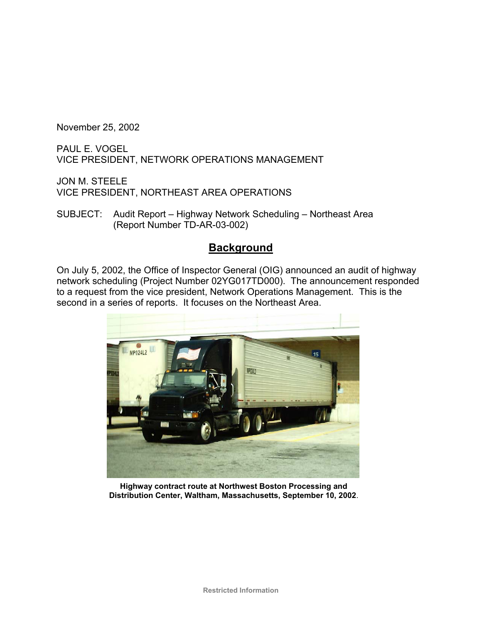November 25, 2002

PAUL E. VOGEL VICE PRESIDENT, NETWORK OPERATIONS MANAGEMENT

JON M. STEELE VICE PRESIDENT, NORTHEAST AREA OPERATIONS

SUBJECT: Audit Report – Highway Network Scheduling – Northeast Area (Report Number TD-AR-03-002)

### **Background**

On July 5, 2002, the Office of Inspector General (OIG) announced an audit of highway network scheduling (Project Number 02YG017TD000). The announcement responded to a request from the vice president, Network Operations Management. This is the second in a series of reports. It focuses on the Northeast Area.



**Highway contract route at Northwest Boston Processing and Distribution Center, Waltham, Massachusetts, September 10, 2002**.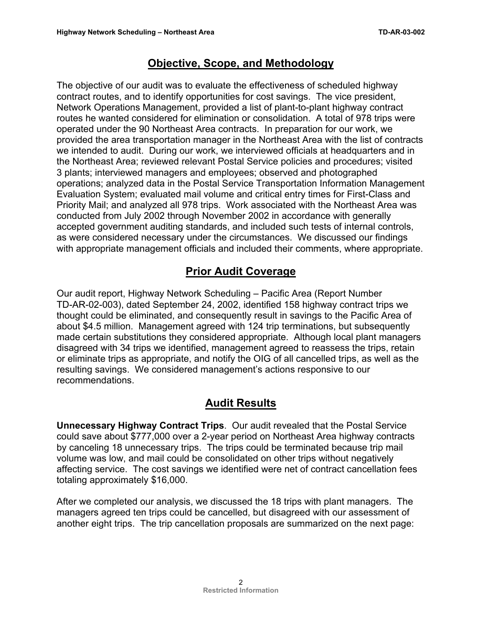### **Objective, Scope, and Methodology**

The objective of our audit was to evaluate the effectiveness of scheduled highway contract routes, and to identify opportunities for cost savings. The vice president, Network Operations Management, provided a list of plant-to-plant highway contract routes he wanted considered for elimination or consolidation. A total of 978 trips were operated under the 90 Northeast Area contracts. In preparation for our work, we provided the area transportation manager in the Northeast Area with the list of contracts we intended to audit. During our work, we interviewed officials at headquarters and in the Northeast Area; reviewed relevant Postal Service policies and procedures; visited 3 plants; interviewed managers and employees; observed and photographed operations; analyzed data in the Postal Service Transportation Information Management Evaluation System; evaluated mail volume and critical entry times for First-Class and Priority Mail; and analyzed all 978 trips. Work associated with the Northeast Area was conducted from July 2002 through November 2002 in accordance with generally accepted government auditing standards, and included such tests of internal controls, as were considered necessary under the circumstances. We discussed our findings with appropriate management officials and included their comments, where appropriate.

# **Prior Audit Coverage**

Our audit report, Highway Network Scheduling – Pacific Area (Report Number TD-AR-02-003), dated September 24, 2002, identified 158 highway contract trips we thought could be eliminated, and consequently result in savings to the Pacific Area of about \$4.5 million. Management agreed with 124 trip terminations, but subsequently made certain substitutions they considered appropriate. Although local plant managers disagreed with 34 trips we identified, management agreed to reassess the trips, retain or eliminate trips as appropriate, and notify the OIG of all cancelled trips, as well as the resulting savings. We considered management's actions responsive to our recommendations.

## **Audit Results**

**Unnecessary Highway Contract Trips**. Our audit revealed that the Postal Service could save about \$777,000 over a 2-year period on Northeast Area highway contracts by canceling 18 unnecessary trips. The trips could be terminated because trip mail volume was low, and mail could be consolidated on other trips without negatively affecting service. The cost savings we identified were net of contract cancellation fees totaling approximately \$16,000.

After we completed our analysis, we discussed the 18 trips with plant managers. The managers agreed ten trips could be cancelled, but disagreed with our assessment of another eight trips. The trip cancellation proposals are summarized on the next page: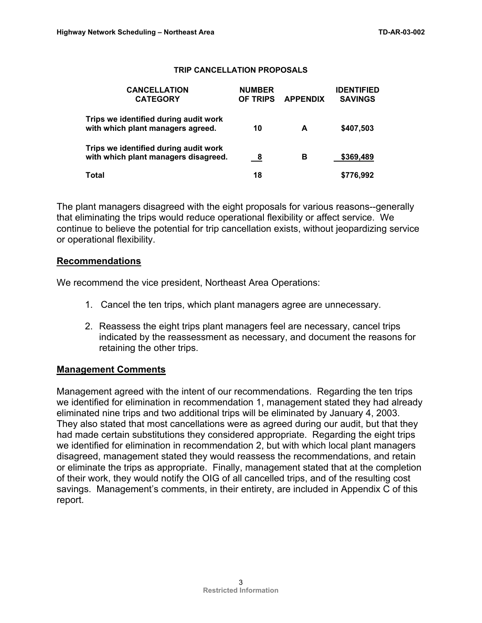#### **TRIP CANCELLATION PROPOSALS**

| <b>CANCELLATION</b><br><b>CATEGORY</b>                                        | <b>NUMBER</b><br><b>OF TRIPS</b> | <b>APPENDIX</b> | <b>IDENTIFIED</b><br><b>SAVINGS</b> |
|-------------------------------------------------------------------------------|----------------------------------|-----------------|-------------------------------------|
| Trips we identified during audit work<br>with which plant managers agreed.    | 10                               | A               | \$407,503                           |
| Trips we identified during audit work<br>with which plant managers disagreed. | - 8                              | в               | \$369,489                           |
| Total                                                                         | 18                               |                 | \$776,992                           |

The plant managers disagreed with the eight proposals for various reasons--generally that eliminating the trips would reduce operational flexibility or affect service. We continue to believe the potential for trip cancellation exists, without jeopardizing service or operational flexibility.

#### **Recommendations**

We recommend the vice president, Northeast Area Operations:

- 1. Cancel the ten trips, which plant managers agree are unnecessary.
- 2. Reassess the eight trips plant managers feel are necessary, cancel trips indicated by the reassessment as necessary, and document the reasons for retaining the other trips.

#### **Management Comments**

Management agreed with the intent of our recommendations. Regarding the ten trips we identified for elimination in recommendation 1, management stated they had already eliminated nine trips and two additional trips will be eliminated by January 4, 2003. They also stated that most cancellations were as agreed during our audit, but that they had made certain substitutions they considered appropriate. Regarding the eight trips we identified for elimination in recommendation 2, but with which local plant managers disagreed, management stated they would reassess the recommendations, and retain or eliminate the trips as appropriate. Finally, management stated that at the completion of their work, they would notify the OIG of all cancelled trips, and of the resulting cost savings. Management's comments, in their entirety, are included in Appendix C of this report.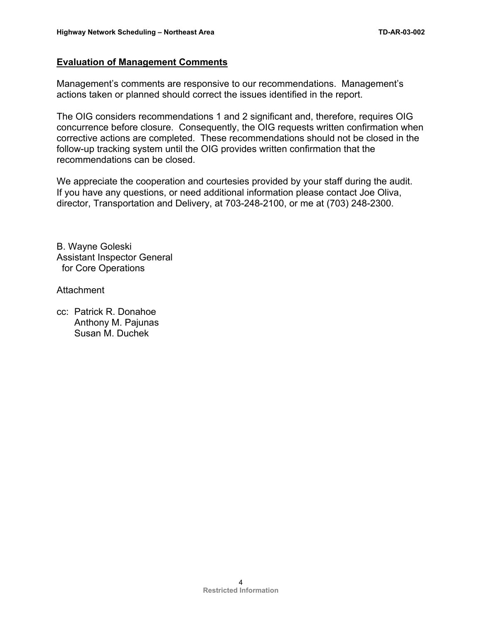### **Evaluation of Management Comments**

Management's comments are responsive to our recommendations. Management's actions taken or planned should correct the issues identified in the report.

The OIG considers recommendations 1 and 2 significant and, therefore, requires OIG concurrence before closure. Consequently, the OIG requests written confirmation when corrective actions are completed. These recommendations should not be closed in the follow-up tracking system until the OIG provides written confirmation that the recommendations can be closed.

We appreciate the cooperation and courtesies provided by your staff during the audit. If you have any questions, or need additional information please contact Joe Oliva, director, Transportation and Delivery, at 703-248-2100, or me at (703) 248-2300.

B. Wayne Goleski Assistant Inspector General for Core Operations

Attachment

cc: Patrick R. Donahoe Anthony M. Pajunas Susan M. Duchek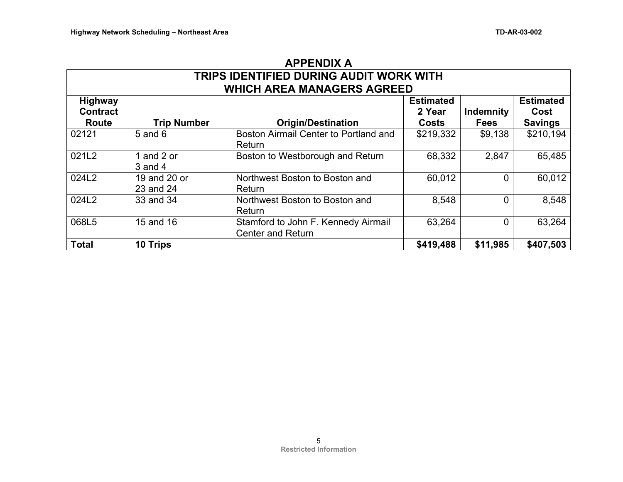| <b>APPENDIX A</b>                                                            |                           |                                                                 |                                     |                                 |                                            |  |  |  |
|------------------------------------------------------------------------------|---------------------------|-----------------------------------------------------------------|-------------------------------------|---------------------------------|--------------------------------------------|--|--|--|
| TRIPS IDENTIFIED DURING AUDIT WORK WITH<br><b>WHICH AREA MANAGERS AGREED</b> |                           |                                                                 |                                     |                                 |                                            |  |  |  |
| <b>Highway</b><br><b>Contract</b><br>Route                                   | <b>Trip Number</b>        | <b>Origin/Destination</b>                                       | <b>Estimated</b><br>2 Year<br>Costs | <b>Indemnity</b><br><b>Fees</b> | <b>Estimated</b><br>Cost<br><b>Savings</b> |  |  |  |
| 02121                                                                        | 5 and 6                   | Boston Airmail Center to Portland and<br>Return                 | \$219,332                           | \$9,138                         | \$210,194                                  |  |  |  |
| 021L2                                                                        | 1 and 2 or<br>$3$ and $4$ | Boston to Westborough and Return                                | 68,332                              | 2,847                           | 65,485                                     |  |  |  |
| 024L2                                                                        | 19 and 20 or<br>23 and 24 | Northwest Boston to Boston and<br>Return                        | 60,012                              | $\Omega$                        | 60,012                                     |  |  |  |
| 024L2                                                                        | 33 and 34                 | Northwest Boston to Boston and<br>Return                        | 8,548                               | $\Omega$                        | 8,548                                      |  |  |  |
| 068L5                                                                        | 15 and 16                 | Stamford to John F. Kennedy Airmail<br><b>Center and Return</b> | 63,264                              | 0                               | 63,264                                     |  |  |  |
| <b>Total</b>                                                                 | 10 Trips                  |                                                                 | \$419,488                           | \$11,985                        | \$407,503                                  |  |  |  |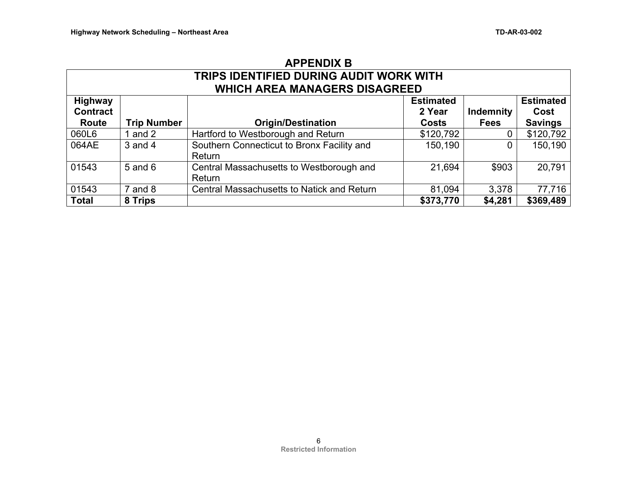| <b>APPENDIX B</b>                       |                    |                                            |                  |                  |                  |  |  |  |
|-----------------------------------------|--------------------|--------------------------------------------|------------------|------------------|------------------|--|--|--|
| TRIPS IDENTIFIED DURING AUDIT WORK WITH |                    |                                            |                  |                  |                  |  |  |  |
| <b>WHICH AREA MANAGERS DISAGREED</b>    |                    |                                            |                  |                  |                  |  |  |  |
| <b>Highway</b>                          |                    |                                            | <b>Estimated</b> |                  | <b>Estimated</b> |  |  |  |
| <b>Contract</b>                         |                    |                                            | 2 Year           | <b>Indemnity</b> | Cost             |  |  |  |
| Route                                   | <b>Trip Number</b> | <b>Origin/Destination</b>                  | <b>Costs</b>     | <b>Fees</b>      | <b>Savings</b>   |  |  |  |
| 060L6                                   | 1 and $2$          | Hartford to Westborough and Return         | \$120,792        | 0                | \$120,792        |  |  |  |
| 064AE                                   | $3$ and $4$        | Southern Connecticut to Bronx Facility and | 150,190          | 0                | 150,190          |  |  |  |
|                                         |                    | Return                                     |                  |                  |                  |  |  |  |
| 01543                                   | $5$ and $6$        | Central Massachusetts to Westborough and   | 21,694           | \$903            | 20,791           |  |  |  |
|                                         |                    | Return                                     |                  |                  |                  |  |  |  |
| 01543                                   | $7$ and $8$        | Central Massachusetts to Natick and Return | 81,094           | 3,378            | 77,716           |  |  |  |
| <b>Total</b>                            | 8 Trips            |                                            | \$373,770        | \$4,281          | \$369,489        |  |  |  |